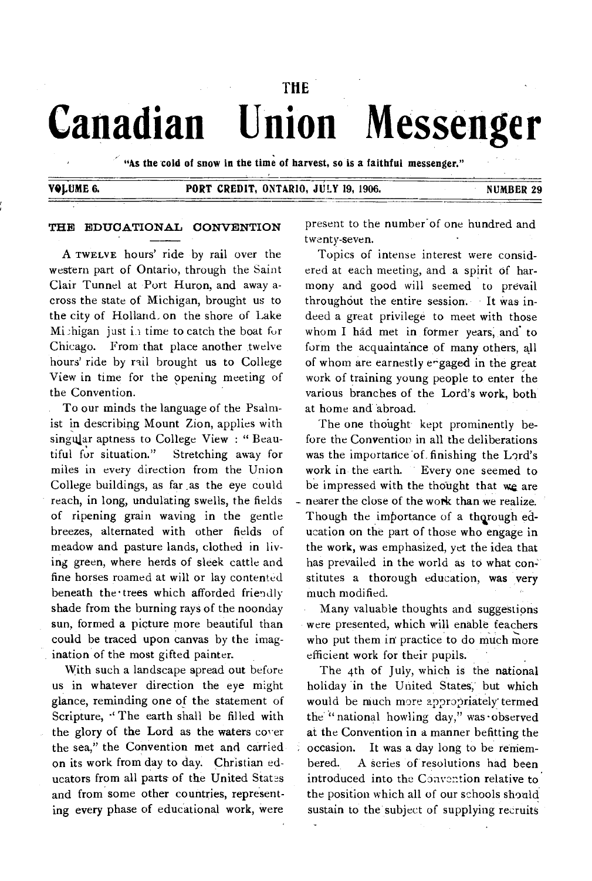# **THE Canadian Union Messenger**

**"As the cold of snow in the time of harvest, so is a faithful messenger."** 

# **Y91,UME 6. PORT CREDIT, ONTARIO, JULY 19, 1906. NUMBER 29**

### **THE** EDUCATIONAL CONVENTION

A TWELVE hours' ride by rail over the western part of Ontario, through the Saint Clair Tunnel at Port Huron, and away across the state of Michigan, brought us to the city of Holland, on the shore of Lake Michigan just in time to catch the boat for Chicago. From that place another twelve hours' ride by rail brought us to College View in time for the opening meeting of the Convention.

To our minds the language of the Psalmist in describing Mount Zion, applies with singular aptness to College View : " Beautiful for situation." Stretching away for miles in every direction from the Union College buildings, as far as the eye could reach, in long, undulating swells, the fields of ripening grain waving in the gentle breezes, alternated with other fields of meadow and pasture lands, clothed in living green, where herds of sleek cattle and fine horses roamed at will or lay contented beneath the trees which afforded friendly shade from the burning rays of the noonday sun, formed a picture more beautiful than could be traced upon canvas by the imagination of the most gifted painter.

With such a landscape spread out before us in whatever direction the eye might glance, reminding one of the statement of Scripture, "The earth shall be filled with the glory of the Lord as the waters cover the sea," the Convention met and carried on its work from day to day. Christian educators from all parts of the United States and from some other countries, representing every phase of educational work, were

present to the number'of one hundred and twenty-seven.

Topics of intense interest were considered at each meeting, and a spirit of harmony and good will seemed to prevail throughout the entire session. It was indeed a great privilege to meet with those whom I had met in former years, **and** to form the acquaintance of many others, all of whom are earnestly engaged in the great work of training young people to enter the various branches of the Lord's work, both at home and"abroad.

The one thought kept prominently before the Convention in all the deliberations was the importance 'of finishing the Lord's work in the earth. Every one seemed to be impressed with the thought that we are nearer the close of the work than we realize. Though the importance of a thorough education on the part of those who engage in the work, was emphasized, yet the idea that has prevailed in the world as to what constitutes a thorough education, was very much modified.

Many valuable thoughts and suggestions were presented, which will enable teachers who put them in' practice to do much more efficient work for their pupils.

The 4th of July, which is the national holiday 'in the United States;' but which would be much more appropriately' termed the " national howling day," was •observed at the Convention in a manner befitting the occasion. It was a day long to be remembered. A series of resolutions had been introduced into the Convention relative to the position which all of our schools should sustain to the subject of supplying recruits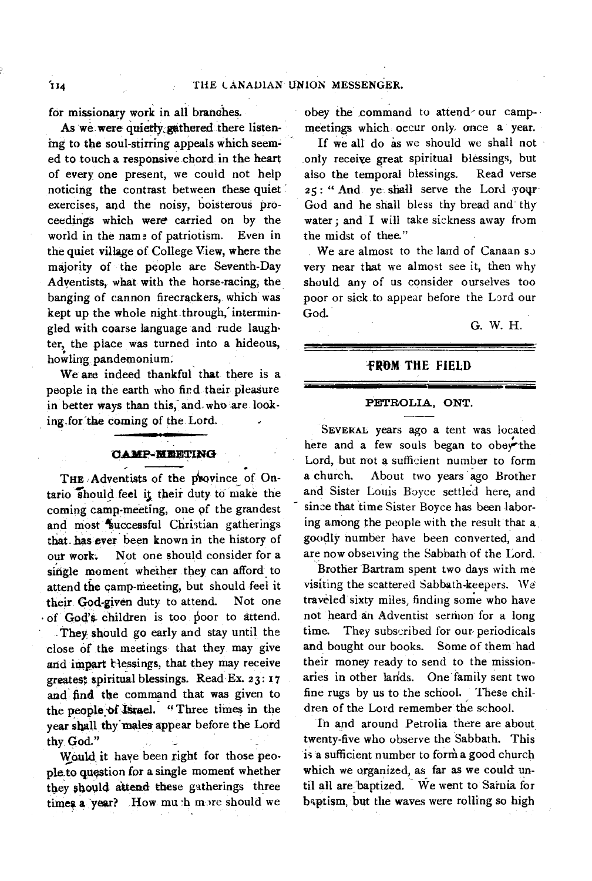for missionary work in all branches.

As we were quietty gathered there listening to the soul-stirring appeals which seemed to touch a responsive.chord in the heart of every one present, we could not help noticing the contrast between these quiet' exercises, and the noisy, boisterous proceedings which were carried on by the world in the name of patriotism. Even in the quiet village of College View, where the majority of the people are Seventh-Day Adventists, what with the horse-racing, the banging of cannon firecrackers, which was kept up the whole night through, intermingled with coarse language and rude laughter, the place was turned into a hideous, howling pandemonium.

We are indeed thankful that there is a people in the earth who find their pleasure in better ways than this, and who are looking,for'the coming of the. Lord.

#### **PASIP -AIRET1147G**

THE **Adventists** of the province of Ontario should feel it their duty to make the coming camp-meeting, one of the grandest and most successful Christian gatherings that. has ever been known in the history of our work. Not one should consider for a single moment whether they can afford to attend the camp-meeting, but should feel it their God-given duty to attend. Not one • of God's- children is too poor to attend.

They should go early and stay until the close of the meetings that they may give and impart tlessings, that they may *receive*  greatest spiritual blessings. Read Ex. 23: r7 and find the command that was given to the people of Israel. " Three times in the year shall thy' males appear before the Lord thy God."

Would it have been right for those people to question for a single moment whether they should attend these gatherings three times a year? How muth more should we

obey the command to attend- our campmeetings which occur only once a year.

If we all do as we should we shall not only receive great spiritual blessings, but also the temporal blessings. Read verse also the temporal blessings. 25: " And ye shall serve the Lord your God and he shall bless thy bread and thy water ; and I will take sickness away from the midst of thee."

We are almost to the land of Canaan so very near that we almost see it, then why should any of us consider ourselves too poor or sick to appear before the Lord our God.

G. W. H.

## **-FROM THE FIELD**

# **PETROLIA, ONT. ---**

**SEVERAL** years ago a tent was located here and a few souls began to obey the Lord, but not a sufficient number to form a church. About two years ago Brother and Sister Louis Boyce settled here, and since that time Sister Boyce has been laboring among the people with the result that a, goodly number have been converted, and are now observing the Sabbath of the Lord.

Brother Bartram spent two days with me visiting the scattered Sabbath-keepers. We traveled sixty miles, finding some who have not heard an Adventist sermon for a long time. They subscribed for our periodicals and bought our books. Some of them had their money ready to send to the missionaries in other lands. One family sent two fine rugs by us to the school. These children of the Lord remember the school.

In and around Petrolia there are about twenty-five who observe the Sabbath. This is a sufficient number to form a good church which we organized, as far as we could until all are baptized. We went to Sarnia for baptism, but the waves were rolling so high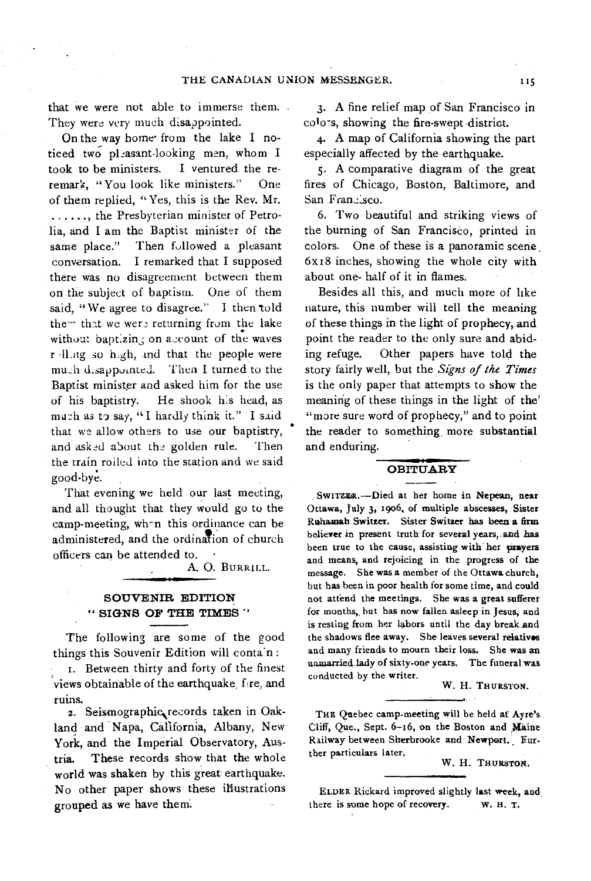that we were not able to immerse them. They were very much disappointed.

On the way home from the lake I noticed two pleasant-looking men, whom I took to be ministers. I ventured the reremark, "You look like ministers." One of them replied, "Yes, this is the Rev. Mr. ......, the Presbyterian minister of Petrolia, and I am the Baptist minister of the same place." Then followed a pleasant conversation. I remarked that I supposed there was no disagreement between them on the subject of baptism. One of them said, "We agree to disagree." I then told them that we were returning from the lake without baptizin, on account of the waves r -11.ng so h,gh, tnd that the people were much d.sappointed. Then I turned to the Baptist minister and asked him for the use of his baptistry. He shook his head, as much as to say, "I hardly think it." I said that we allow others to use our baptistry, and asked about the golden rule. Then the train roiled into the station and *we* said good-bye.

That evening we held our last meeting, and all thought that they would go to the camp-meeting, wh-n this ordinance can be administered, and the ordination of church officers can be attended to. •

A. 0. BURRILL.

# SOUVENIR EDITION " SIGNS OF THE TIMES "

The following are some of the good things this Souvenir Edition will conta'n

I. Between thirty and forty of the finest views obtainable of the earthquake, fire, and ruins.

2. Seismographic records taken in Oakland and Napa, California, Albany, New York, and the Imperial Observatory, Austria. These records show that the whole world was shaken by this great earthquake. No other paper shows these illustrations grouped as we have them.

3. A fine relief map of San Francisco in colors, showing the fire-swept district.

4. A map of California showing the part especially affected by the earthquake.

5. A comparative diagram of the great fires of Chicago, Boston, Baltimore, and San Francisco.

6. Two beautiful and striking views of the burning of San Francisco, printed in colors. One of these is a panoramic scene, 6x18 inches, showing the whole city with about one- half of it in flames.

Besides all this, and much more of like nature, this number will tell the meaning of these things in the light of prophecy, and point the reader to the only sure and abiding refuge. Other papers have told the story fairly well, but the *Signs of the Times*  is the only paper that attempts to show the meaning of these things in the light of the' "more sure word of prophecy," and to point the reader to something more substantial and enduring.

# **OBITUARY**

SWITZZR.—Died at her home in Nepean, near Ottawa, July 3, 1906, of multiple abscesses, Sister Ruhamah Switzer. Sister Switzer has been a firm believer in present truth for several years, and has been true to the cause, assisting with her prayers and means, and rejoicing in the progress of the message. She was a member of the Ottawa church, but has been in poor health for some time, and could not attend the meetings. She was a great sufferer for months, but has now fallen asleep in Jesus, and is resting from her labors until the day break and the shadows flee away. She leaves several relatives and many friends to mourn their loss. She was an unmarried lady of sixty-one years. The funeral was conducted by the writer.

W. H. THURSTON.

THE Quebec camp-meeting will be held af Ayre's Cliff, Que., Sept. 6-16, on the Boston and Maine Railway between Sherbrooke and Newport. Further particulars later.

W. H. THURSTON.

ELDER Rickard improved slightly last week, and, there is some hope of recovery. w. H. T.